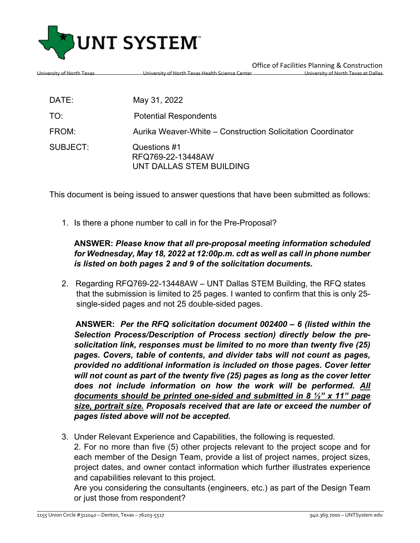

University of North Texas University of North Texas Health Science Center

| DATE:    | May 31, 2022                                                  |
|----------|---------------------------------------------------------------|
| TO:      | <b>Potential Respondents</b>                                  |
| FROM:    | Aurika Weaver-White – Construction Solicitation Coordinator   |
| SUBJECT: | Questions #1<br>RFQ769-22-13448AW<br>UNT DALLAS STEM BUILDING |

This document is being issued to answer questions that have been submitted as follows:

1. Is there a phone number to call in for the Pre-Proposal?

## **ANSWER:** *Please know that all pre-proposal meeting information scheduled for Wednesday, May 18, 2022 at 12:00p.m. cdt as well as call in phone number is listed on both pages 2 and 9 of the solicitation documents.*

2. Regarding RFQ769-22-13448AW – UNT Dallas STEM Building, the RFQ states that the submission is limited to 25 pages. I wanted to confirm that this is only 25 single-sided pages and not 25 double-sided pages.

 **ANSWER:** *Per the RFQ solicitation document 002400 – 6 (listed within the Selection Process/Description of Process section) directly below the presolicitation link, responses must be limited to no more than twenty five (25) pages. Covers, table of contents, and divider tabs will not count as pages, provided no additional information is included on those pages. Cover letter will not count as part of the twenty five (25) pages as long as the cover letter does not include information on how the work will be performed. All documents should be printed one-sided and submitted in 8 ½" x 11" page size, portrait size. Proposals received that are late or exceed the number of pages listed above will not be accepted.*

3. Under Relevant Experience and Capabilities, the following is requested.

2. For no more than five (5) other projects relevant to the project scope and for each member of the Design Team, provide a list of project names, project sizes, project dates, and owner contact information which further illustrates experience and capabilities relevant to this project.

Are you considering the consultants (engineers, etc.) as part of the Design Team or just those from respondent?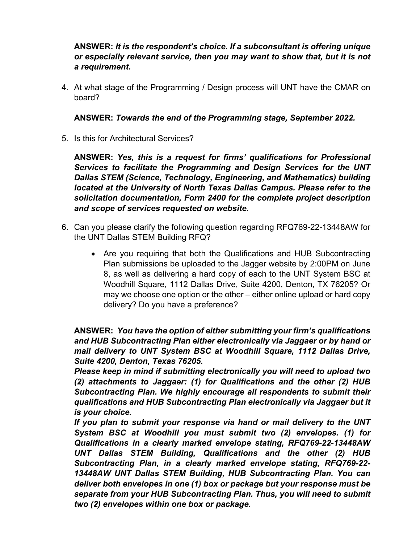## **ANSWER:** *It is the respondent's choice. If a subconsultant is offering unique or especially relevant service, then you may want to show that, but it is not a requirement.*

4. At what stage of the Programming / Design process will UNT have the CMAR on board?

## **ANSWER:** *Towards the end of the Programming stage, September 2022.*

5. Is this for Architectural Services?

**ANSWER:** *Yes, this is a request for firms' qualifications for Professional Services to facilitate the Programming and Design Services for the UNT Dallas STEM (Science, Technology, Engineering, and Mathematics) building located at the University of North Texas Dallas Campus. Please refer to the solicitation documentation, Form 2400 for the complete project description and scope of services requested on website.*

- 6. Can you please clarify the following question regarding RFQ769-22-13448AW for the UNT Dallas STEM Building RFQ?
	- Are you requiring that both the Qualifications and HUB Subcontracting Plan submissions be uploaded to the Jagger website by 2:00PM on June 8, as well as delivering a hard copy of each to the UNT System BSC at Woodhill Square, 1112 Dallas Drive, Suite 4200, Denton, TX 76205? Or may we choose one option or the other – either online upload or hard copy delivery? Do you have a preference?

**ANSWER:** *You have the option of either submitting your firm's qualifications and HUB Subcontracting Plan either electronically via Jaggaer or by hand or mail delivery to UNT System BSC at Woodhill Square, 1112 Dallas Drive, Suite 4200, Denton, Texas 76205.*

*Please keep in mind if submitting electronically you will need to upload two (2) attachments to Jaggaer: (1) for Qualifications and the other (2) HUB Subcontracting Plan. We highly encourage all respondents to submit their qualifications and HUB Subcontracting Plan electronically via Jaggaer but it is your choice.* 

*If you plan to submit your response via hand or mail delivery to the UNT System BSC at Woodhill you must submit two (2) envelopes. (1) for Qualifications in a clearly marked envelope stating, RFQ769-22-13448AW UNT Dallas STEM Building, Qualifications and the other (2) HUB Subcontracting Plan, in a clearly marked envelope stating, RFQ769-22- 13448AW UNT Dallas STEM Building, HUB Subcontracting Plan. You can deliver both envelopes in one (1) box or package but your response must be separate from your HUB Subcontracting Plan. Thus, you will need to submit two (2) envelopes within one box or package.*